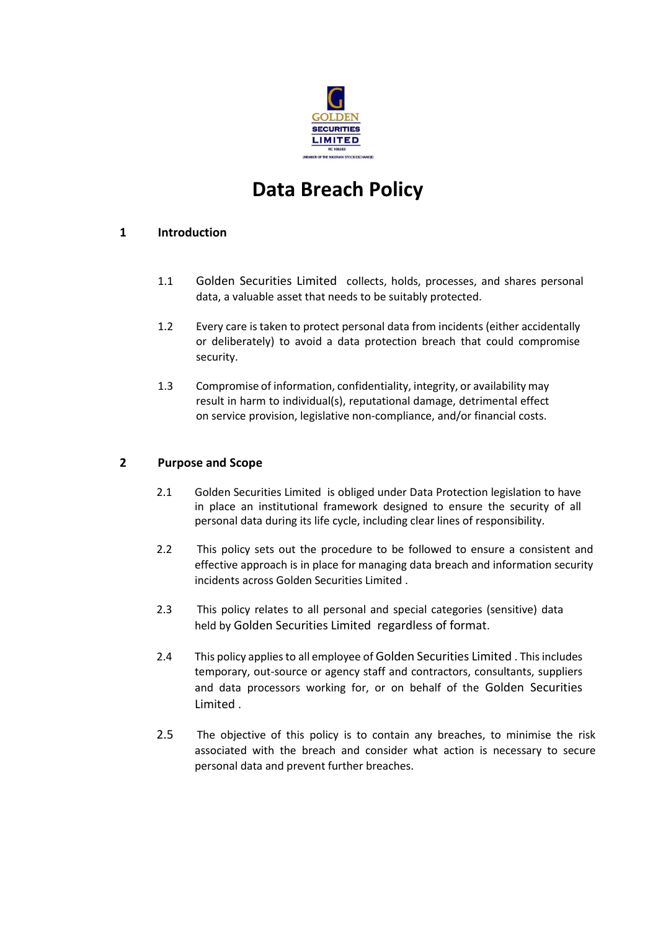

# **Data Breach Policy**

## **1 Introduction**

- 1.1 Golden Securities Limited collects, holds, processes, and shares personal data, a valuable asset that needs to be suitably protected.
- 1.2 Every care is taken to protect personal data from incidents (either accidentally or deliberately) to avoid a data protection breach that could compromise security.
- 1.3 Compromise of information, confidentiality, integrity, or availability may result in harm to individual(s), reputational damage, detrimental effect on service provision, legislative non-compliance, and/or financial costs.

# **2 Purpose and Scope**

- 2.1 Golden Securities Limited is obliged under Data Protection legislation to have in place an institutional framework designed to ensure the security of all personal data during its life cycle, including clear lines of responsibility.
- 2.2 This policy sets out the procedure to be followed to ensure a consistent and effective approach is in place for managing data breach and information security incidents across Golden Securities Limited .
- 2.3 This policy relates to all personal and special categories (sensitive) data held by Golden Securities Limited regardless of format.
- 2.4 This policy applies to all employee of Golden Securities Limited . This includes temporary, out-source or agency staff and contractors, consultants, suppliers and data processors working for, or on behalf of the Golden Securities Limited .
- 2.5 The objective of this policy is to contain any breaches, to minimise the risk associated with the breach and consider what action is necessary to secure personal data and prevent further breaches.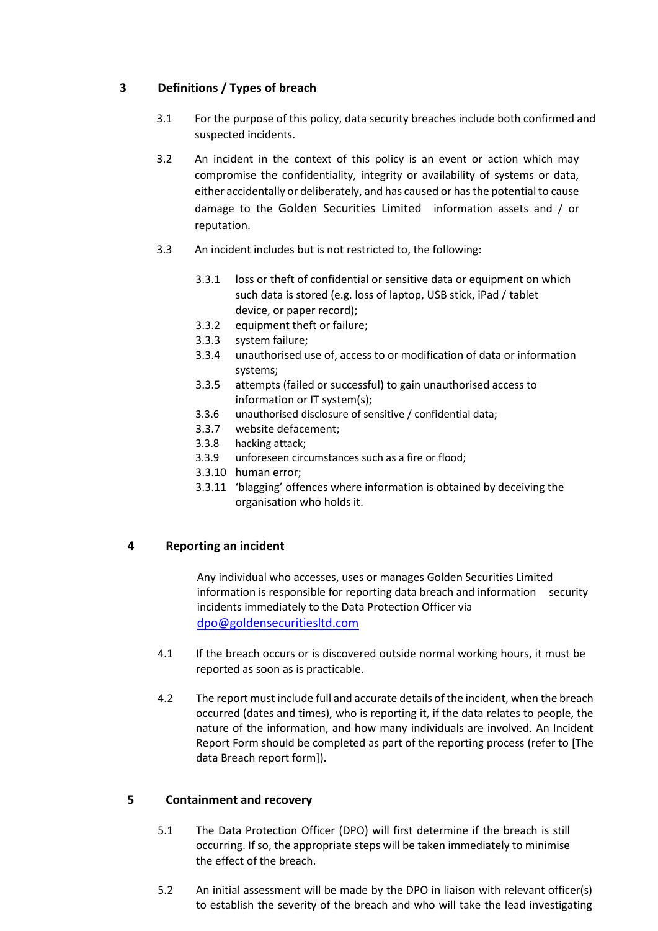## **3 Definitions / Types of breach**

- 3.1 For the purpose of this policy, data security breaches include both confirmed and suspected incidents.
- 3.2 An incident in the context of this policy is an event or action which may compromise the confidentiality, integrity or availability of systems or data, either accidentally or deliberately, and has caused or has the potential to cause damage to the Golden Securities Limited information assets and / or reputation.
- 3.3 An incident includes but is not restricted to, the following:
	- 3.3.1 loss or theft of confidential or sensitive data or equipment on which such data is stored (e.g. loss of laptop, USB stick, iPad / tablet device, or paper record);
	- 3.3.2 equipment theft or failure;
	- 3.3.3 system failure;
	- 3.3.4 unauthorised use of, access to or modification of data or information systems;
	- 3.3.5 attempts (failed or successful) to gain unauthorised access to information or IT system(s);
	- 3.3.6 unauthorised disclosure of sensitive / confidential data;
	- 3.3.7 website defacement;
	- 3.3.8 hacking attack;
	- 3.3.9 unforeseen circumstances such as a fire or flood;
	- 3.3.10 human error;
	- 3.3.11 'blagging' offences where information is obtained by deceiving the organisation who holds it.

#### **4 Reporting an incident**

Any individual who accesses, uses or manages Golden Securities Limited information is responsible for reporting data breach and information security incidents immediately to the Data Protection Officer via [dpo@goldensecuritiesltd.com](mailto:dpo@fsl.ng)

- 4.1 If the breach occurs or is discovered outside normal working hours, it must be reported as soon as is practicable.
- 4.2 The report must include full and accurate details of the incident, when the breach occurred (dates and times), who is reporting it, if the data relates to people, the nature of the information, and how many individuals are involved. An Incident Report Form should be completed as part of the reporting process (refer to [The data Breach report form]).

#### **5 Containment and recovery**

- 5.1 The Data Protection Officer (DPO) will first determine if the breach is still occurring. If so, the appropriate steps will be taken immediately to minimise the effect of the breach.
- 5.2 An initial assessment will be made by the DPO in liaison with relevant officer(s) to establish the severity of the breach and who will take the lead investigating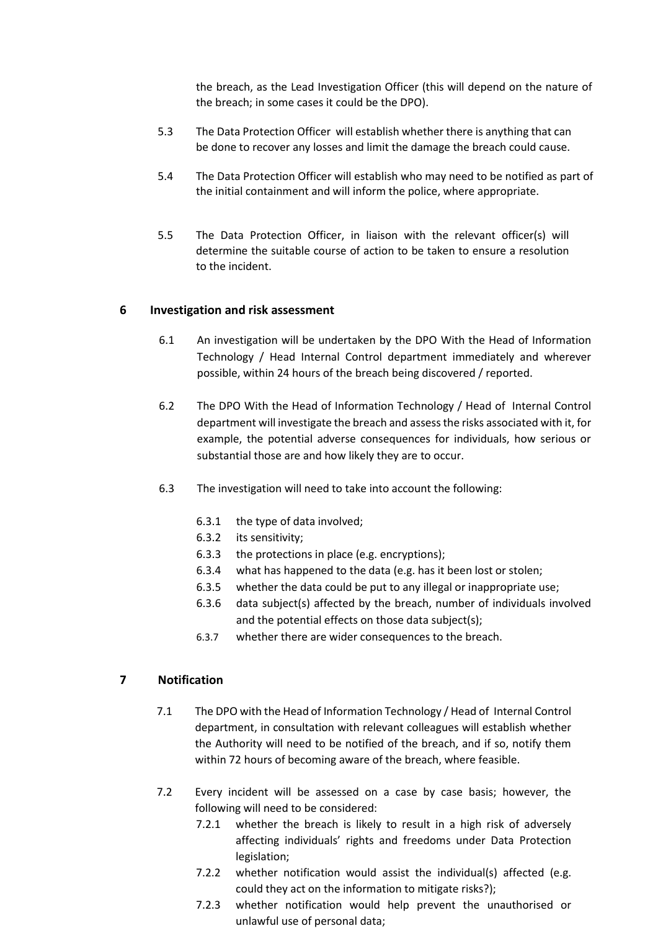the breach, as the Lead Investigation Officer (this will depend on the nature of the breach; in some cases it could be the DPO).

- 5.3 The Data Protection Officer will establish whether there is anything that can be done to recover any losses and limit the damage the breach could cause.
- 5.4 The Data Protection Officer will establish who may need to be notified as part of the initial containment and will inform the police, where appropriate.
- 5.5 The Data Protection Officer, in liaison with the relevant officer(s) will determine the suitable course of action to be taken to ensure a resolution to the incident.

#### **6 Investigation and risk assessment**

- 6.1 An investigation will be undertaken by the DPO With the Head of Information Technology / Head Internal Control department immediately and wherever possible, within 24 hours of the breach being discovered / reported.
- 6.2 The DPO With the Head of Information Technology / Head of Internal Control department will investigate the breach and assess the risks associated with it, for example, the potential adverse consequences for individuals, how serious or substantial those are and how likely they are to occur.
- 6.3 The investigation will need to take into account the following:
	- 6.3.1 the type of data involved;
	- 6.3.2 its sensitivity;
	- 6.3.3 the protections in place (e.g. encryptions);
	- 6.3.4 what has happened to the data (e.g. has it been lost or stolen;
	- 6.3.5 whether the data could be put to any illegal or inappropriate use;
	- 6.3.6 data subject(s) affected by the breach, number of individuals involved and the potential effects on those data subject(s);
	- 6.3.7 whether there are wider consequences to the breach.

#### **7 Notification**

- 7.1 The DPO with the Head of Information Technology / Head of Internal Control department, in consultation with relevant colleagues will establish whether the Authority will need to be notified of the breach, and if so, notify them within 72 hours of becoming aware of the breach, where feasible.
- 7.2 Every incident will be assessed on a case by case basis; however, the following will need to be considered:
	- 7.2.1 whether the breach is likely to result in a high risk of adversely affecting individuals' rights and freedoms under Data Protection legislation;
	- 7.2.2 whether notification would assist the individual(s) affected (e.g. could they act on the information to mitigate risks?);
	- 7.2.3 whether notification would help prevent the unauthorised or unlawful use of personal data;